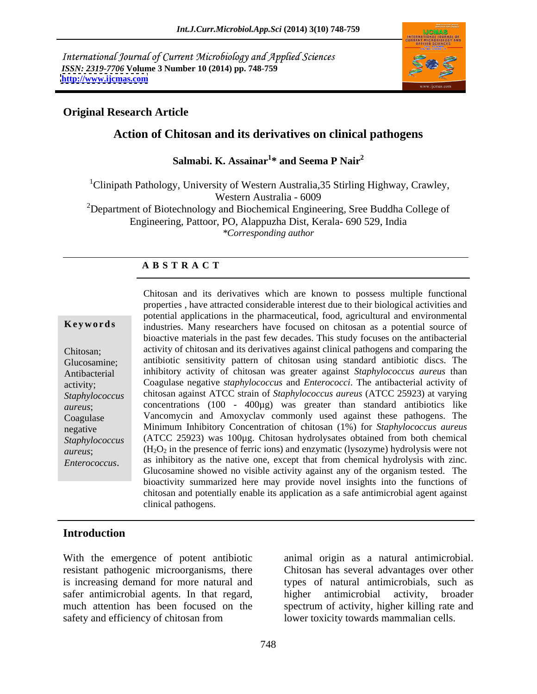International Journal of Current Microbiology and Applied Sciences *ISSN: 2319-7706* **Volume 3 Number 10 (2014) pp. 748-759 <http://www.ijcmas.com>**



### **Original Research Article**

### **Action of Chitosan and its derivatives on clinical pathogens**

Salmabi. K. Assainar<sup>1\*</sup> and Seema P Nair<sup>2</sup> **\* and Seema P Nair<sup>2</sup>**

<sup>1</sup>Clinipath Pathology, University of Western Australia, 35 Stirling Highway, Crawley,<br>Western Australia - 6009 Western Australia - 6009  $2D$ epartment of Biotechnology and Biochemical Engineering, Sree Buddha College of Engineering, Pattoor, PO, Alappuzha Dist, Kerala- 690 529, India

*\*Corresponding author*

### **A B S T R A C T**

**Keywords** industries. Many researchers have focused on chitosan as a potential source of Chitosan; activity of chitosan and its derivatives against clinical pathogens and comparing the Glucosamine; antibiotic sensitivity pattern of chitosan using standard antibiotic discs. The Antibacterial inhibitory activity of chitosan was greater against *Staphylococcus aureus* than activity; Coagulase negative *staphylococcus* and *Enterococci*. The antibacterial activity of *Staphylococcus*  chitosan against ATCC strain of *Staphylococcus aureus* (ATCC 25923) at varying *aureus*; concentrations (100 - 400µg) was greater than standard antibiotics like Coagulase Vancomycin and Amoxyclav commonly used against these pathogens. The negative Minimum Inhibitory Concentration of chitosan (1%) for *Staphylococcus aureus Staphylococcus*  (ATCC 25923) was 100µg. Chitosan hydrolysates obtained from both chemical *aureus*;  $(H_2O_2$  in the presence of ferric ions) and enzymatic (lysozyme) hydrolysis were not Chitosan and its derivatives which are known to possess multiple functional<br>
properties, have attracted considerable interest due to their biological activities and<br>
potential applications in the pharmaceutical, food, agri properties , have attracted considerable interest due to their biological activities and potential applications in the pharmaceutical, food, agricultural and environmental bioactive materials in the past few decades. This study focuses on the antibacterial as inhibitory as the native one, except that from chemical hydrolysis with zinc. Glucosamine showed no visible activity against any of the organism tested. The bioactivity summarized here may provide novel insights into the functions of chitosan and potentially enable its application as a safe antimicrobial agent against clinical pathogens.

### **Introduction**

With the emergence of potent antibiotic animal origin as a natural antimicrobial. resistant pathogenic microorganisms, there Chitosan has several advantages over other is increasing demand for more natural and types of natural antimicrobials, such as safer antimicrobial agents. In that regard, higher antimicrobial activity, broader much attention has been focused on the spectrum of activity, higher killing rate and

safety and efficiency of chitosan from lower toxicity towards mammalian cells. higher antimicrobial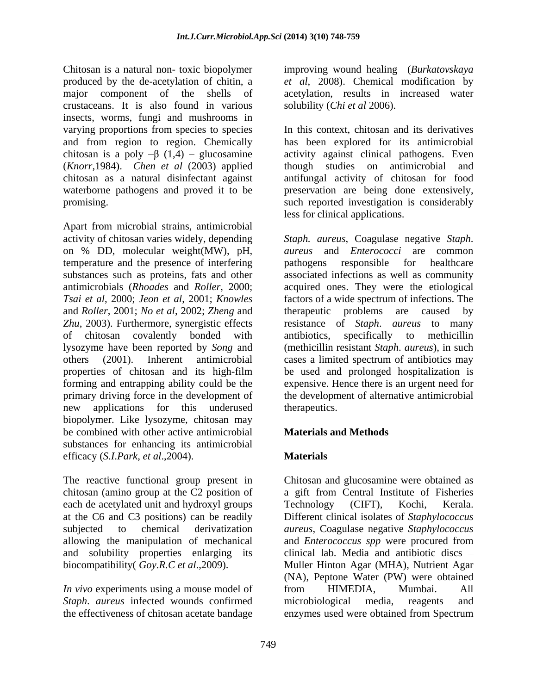Chitosan is a natural non- toxic biopolymer improving wound healing (*Burkatovskaya* produced by the de-acetylation of chitin, a *et al*, 2008). Chemical modification by major component of the shells of acetylation, results in increased water crustaceans. It is also found in various insects, worms, fungi and mushrooms in varying proportions from species to species (*Knorr*,1984). *Chen et al* (2003) applied chitosan as a natural disinfectant against

Apart from microbial strains, antimicrobial activity of chitosan varies widely, depending temperature and the presence of interfering and *Roller*, 2001; *No et al*, 2002; *Zheng* and new applications for this underused biopolymer. Like lysozyme, chitosan may be combined with other active antimicrobial **Materials and Methods** substances for enhancing its antimicrobial efficacy (*S*.*I*.*Park*, *et al*.,2004).

chitosan (amino group at the C2 position of each de acetylated unit and hydroxyl groups Technology (CIFT), Kochi, Kerala. and solubility properties enlarging its

*Staph*. *aureus* infected wounds confirmed

solubility (*Chi et al* 2006).

and from region to region. Chemically has been explored for its antimicrobial chitosan is a poly  $-\beta$  (1,4) – glucosamine activity against clinical pathogens. Even waterborne pathogens and proved it to be preservation are being done extensively, promising. such reported investigation is considerably In this context, chitosan and its derivatives though studies on antimicrobial and antifungal activity of chitosan for food less for clinical applications.

on % DD, molecular weight(MW), pH, *aureus* and *Enterococci* are common substances such as proteins, fats and other associated infections as well as community antimicrobials (*Rhoades* and *Roller*, 2000; acquired ones. They were the etiological *Tsai et al*, 2000; *Jeon et al*,2001; *Knowles* factors of a wide spectrum of infections. The *Zhu*, 2003). Furthermore, synergistic effects resistance of *Staph*. *aureus* to many of chitosan covalently bonded with antibiotics, specifically to methicillin lysozyme have been reported by *Song* and (methicillin resistant *Staph*. *aureus*), in such others (2001). Inherent antimicrobial cases a limited spectrum of antibiotics may properties of chitosan and its high-film be used and prolonged hospitalization is forming and entrapping ability could be the expensive. Hence there is an urgent need for primary driving force in the development of the development of alternative antimicrobial *Staph. aureus*, Coagulase negative *Staph*. pathogens responsible for healthcare therapeutic problems are caused by antibiotics, specifically to methicillin therapeutics.

### **Materials and Methods**

### **Materials**

The reactive functional group present in Chitosan and glucosamine were obtained as at the C6 and C3 positions) can be readily Different clinical isolates of *Staphylococcus* subjected to chemical derivatization *aureus*, Coagulase negative *Staphylococcus* allowing the manipulation of mechanical and *Enterococcus spp* were procured from biocompatibility( *Goy*.*R.C et al*.,2009). Muller Hinton Agar (MHA), Nutrient Agar *In vivo* experiments using a mouse model of from HIMEDIA, Mumbai. All the effectiveness of chitosan acetate bandage enzymes used were obtained from Spectruma gift from Central Institute of Fisheries Technology (CIFT), Kochi, Kerala. clinical lab. Media and antibiotic discs (NA), Peptone Water (PW) were obtained from HIMEDIA, Mumbai. All microbiological media, reagents and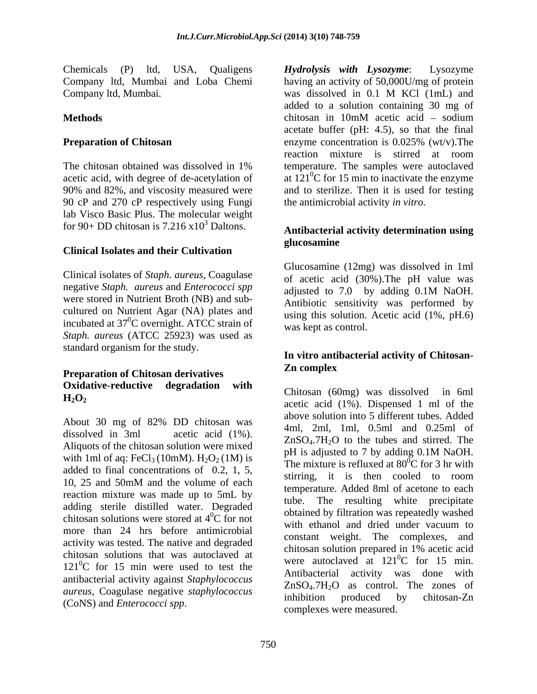Chemicals (P) ltd, USA, Qualigens Hydrolysis with Lysozyme: Lysozyme Company ltd, Mumbai. was dissolved in 0.1 M KCl (1mL) and

90 cP and 270 cP respectively using Fungi lab Visco Basic Plus. The molecular weight for 90+ DD chitosan is  $7.216 \times 10^3$  Daltons.

## **Clinical Isolates and their Cultivation**

Clinical isolates of *Staph. aureus*, Coagulase negative *Staph. aureus* and *Enterococci spp* adjusted to 7.0 by adding 0.1M NaOH. were stored in Nutrient Broth (NB) and sub cultured on Nutrient Agar (NA) plates and incubated at  $37^0C$  overnight. ATCC strain of *Staph. aureus* (ATCC 25923) was used as standard organism for the study.

## **Preparation of Chitosan derivatives** *Preparation of Chitosan derivatives* **Oxidative**-**reductive degradation with**

Aliquots of the chitosan solution were mixed<br> $pH$  is adjusted to 7 by adding 0.1M NaOH. with 1ml of aq: FeCl<sub>3</sub> (10mM).  $H_2O_2$  (1M) is added to final concentrations of 0.2, 1, 5, reaction mixture was made up to 5mL by<br>tube. adding sterile distilled water. Degraded chitosan solutions were stored at  $4^{0}C$  for not more than 24 hrs before antimicrobial activity was tested. The native and degraded<br>chitosan solution prepared in 1% acetic acid chitosan solutions that was autoclaved at  $121^{\circ}$ C for 15 min were used to test the antibacterial activity against *Staphylococcus aureus*, Coagulase negative *staphylococcus*<br>
inhibition produced by chitosan-Zn

Company ltd, Mumbai and Loba Chemi having an activity of 50,000U/mg of protein **Methods Methods Methods Methods Methods Methods Methods Methods Methods Methods Methods Methods Methods Methods Methods Methods Methods Methods Methods Methods Methods Methods M Preparation of Chitosan** enzyme concentration is 0.025% (wt/v). The The chitosan obtained was dissolved in 1% temperature. The samples were autoclaved acetic acid, with degree of de-acetylation of at  $121^0C$  for 15 min to inactivate the enzyme 90% and 82%, and viscosity measured were and to sterilize. Then it is used for testing was dissolved in 0.1 M KCl (1mL) and added to a solution containing 30 mg of  $chitosan$  in 10mM acetic acid – sodium acetate buffer (pH: 4.5), so that the final enzyme concentration is 0.025% (wt/v).The reaction mixture is stirred at room temperature. The samples were autoclaved the antimicrobial activity *in vitro*.

## Daltons. **Antibacterial activity determination using glucosamine**

Glucosamine (12mg) was dissolved in 1ml of acetic acid (30%).The pH value was adjusted to 7.0 by adding 0.1M NaOH. Antibiotic sensitivity was performed by using this solution. Acetic acid (1%, pH.6) was kept as control.

### **In vitro antibacterial activity of Chitosan**- **Zn complex**

**H2O2** acetic acid (1%). Dispensed 1 ml of the About 30 mg of 82% DD chitosan was  $\frac{1}{4}$  and  $\frac{2}{1}$  and  $\frac{1}{4}$  and  $\frac{1}{2}$  and  $\frac{1}{2}$  and  $\frac{1}{2}$  and  $\frac{1}{2}$  and  $\frac{1}{2}$  and  $\frac{1}{2}$  and  $\frac{1}{2}$  and  $\frac{1}{2}$  and  $\frac{1}{2}$  and  $\frac{1}{2}$  and  $\frac{$ dissolved in 3ml acetic acid  $(1\%)$ .  $\frac{1}{7.8}$  and  $\frac{1}{10}$ ,  $\frac{1}{10}$  and  $\frac{0.25 \text{ m}}{2.5 \text{ m}}$  or 10, 25 and 50mM and the volume of each survey and the value of each survey and the survey of deal of each survey is also to each survey of the survey of the survey of the survey of the survey of the survey of the survey of  ${}^{0}C$  for not coordinated by intration was repeatedly wasned Clemicals (Pb) ltd, USA, Qualignes *Hydrolysis with Lysozyme*: User and dependent of the control in the control in the control in the control in the control in the control in the control in the control in the contro Chitosan (60mg) was dissolved in 6ml above solution into 5 different tubes. Added 4ml, 2ml, 1ml, 0.5ml and 0.25ml of ZnSO4.7H2O to the tubes and stirred. The pH is adjusted to 7 by adding 0.1M NaOH. The mixture is refluxed at  $80^{\circ}$ C for 3 hr with stirring, it is then cooled to room temperature. Added 8ml of acetone to each The resulting white precipitate obtained by filtration was repeatedly washed with ethanol and dried under vacuum to constant weight. The complexes, and chitosan solution prepared in 1% acetic acid were autoclaved at  $121^0$ C for 15 min.  ${}^{0}C$  for 15 min. Antibacterial activity was done with  $ZnSO<sub>4</sub>.7H<sub>2</sub>O$  as control. The zones of inhibition produced by chitosan-Zn complexes were measured.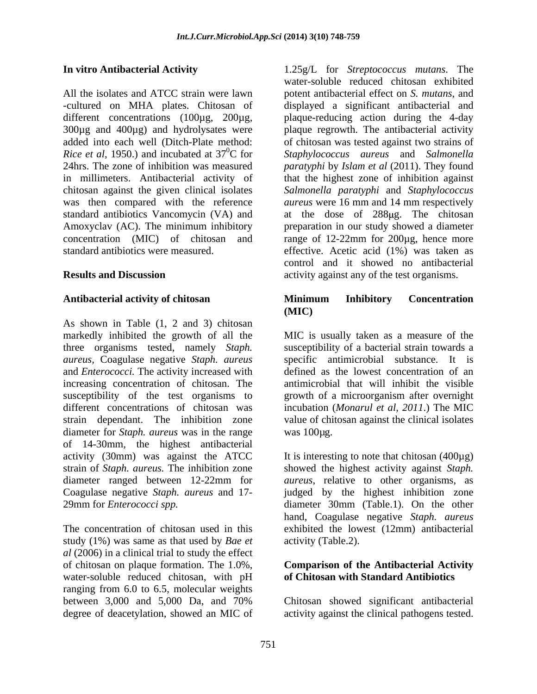different concentrations (100µg, 200µg, added into each well (Ditch-Plate method: *Rice et al*, 1950.) and incubated at  $37^{\circ}$ C for was then compared with the reference

As shown in Table (1, 2 and 3) chitosan markedly inhibited the growth of all the three organisms tested, namely *Staph.* susceptibility of a bacterial strain towards a *aureus,* Coagulase negative *Staph. aureus* and *Enterococci.* The activity increased with increasing concentration of chitosan. The antimicrobial that will inhibit the visible susceptibility of the test organisms to growth of a microorganism after overnight different concentrations of chitosan was incubation (*Monarul et al, 2011*.) The MIC strain dependant. The inhibition zone value of chitosan against the clinical isolates diameter for *Staph. aureus* was in the range was 100µg. of 14-30mm, the highest antibacterial activity (30mm) was against the ATCC strain of *Staph. aureus.* The inhibition zone showed the highest activity against *Staph.*  diameter ranged between 12-22mm for *aureus*, relative to other organisms, as Coagulase negative *Staph. aureus* and 17- 29mm for *Enterococci spp.* diameter 30mm (Table.1). On the other

study (1%) was same as that used by *Bae et al* (2006) in a clinical trial to study the effect of chitosan on plaque formation. The1.0%, **Comparison of the Antibacterial Activity** water-soluble reduced chitosan, with pH ranging from 6.0 to 6.5, molecular weights between 3,000 and 5,000 Da, and 70%

**In vitro Antibacterial Activity** 1.25g/L for *Streptococcus mutans*. The All the isolates and ATCC strain were lawn potent antibacterial effect on *S. mutans*, and -cultured on MHA plates. Chitosan of displayed a significant antibacterial and 300µg and 400µg) and hydrolysates were plaque regrowth. The antibacterial activity 0C for *Staphylococcus aureus* and *Salmonella* 24hrs. The zone of inhibition was measured *paratyphi* by *Islam et al* (2011). They found in millimeters. Antibacterial activity of that the highest zone of inhibition against chitosan against the given clinical isolates *Salmonella paratyphi* and *Staphylococcus*  standard antibiotics Vancomycin (VA) and at the dose of 288 µg. The chitosan Amoxyclav (AC). The minimum inhibitory preparation in our study showed a diameter concentration (MIC) of chitosan and range of 12-22mm for 200µg, hence more standard antibiotics were measured. effective. Acetic acid (1%) was taken as **Results and Discussion activity against any of the test organisms.** water-soluble reduced chitosan exhibited plaque-reducing action during the 4-day of chitosan was tested against two strains of *aureus* were 16 mm and 14 mm respectively control and it showed no antibacterial

### **Antibacterial activity of chitosan Minimum Inhibitory Concentration (MIC)**

MIC is usually taken as a measure of the specific antimicrobial substance. It is defined as the lowest concentration of an was 100µg.

The concentration of chitosan used in this exhibited the lowest (12mm) antibacterial It is interesting to note that chitosan  $(400\mu g)$ judged by the highest inhibition zone hand, Coagulase negative *Staph. aureus* activity (Table.2).

# **of Chitosan with Standard Antibiotics**

degree of deacetylation, showed an MIC of activity against the clinical pathogens tested.Chitosan showed significant antibacterial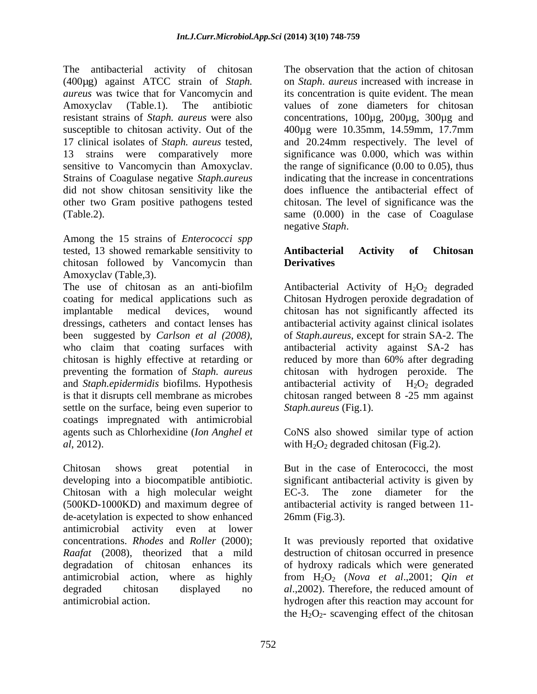The antibacterial activity of chitosan (400µg) against ATCC strain of *Staph. aureus* was twice that for Vancomycin and its concentration is quite evident. The mean Amoxyclav (Table.1). The antibiotic values of zone diameters for chitosan resistant strains of *Staph. aureus* were also concentrations, 100µg, 200µg, 300µg and susceptible to chitosan activity. Out of the  $400\mu$ g were 10.35mm, 14.59mm, 17.7mm 17 clinical isolates of *Staph. aureus* tested, and 20.24mm respectively. The level of 13 strains were comparatively more significance was 0.000, which was within sensitive to Vancomycin than Amoxyclav. the range of significance (0.00 to 0.05), thus Strains of Coagulase negative *Staph.aureus* did not show chitosan sensitivity like the other two Gram positive pathogens tested chitosan. The level of significance was the (Table.2). same (0.000) in the case of Coagulase

Among the 15 strains of *Enterococci spp* tested, 13 showed remarkable sensitivity to **Antibacterial Activity of Chitosan** chitosan followed by Vancomycin than **Derivatives** Amoxyclav (Table,3).

The use of chitosan as an anti-biofilm Antibacterial Activity of  $H_2O_2$  degraded coating for medical applications such as Chitosan Hydrogen peroxide degradation of implantable medical devices, wound chitosan has not significantly affected its dressings, catheters and contact lenses has antibacterial activity against clinical isolates been suggested by *Carlson et al (2008)*, of *Staph.aureus*, except for strain SA-2. The who claim that coating surfaces with antibacterial activity against SA-2 has chitosan is highly effective at retarding or reduced by more than 60% after degrading preventing the formation of *Staph. aureus* chitosan with hydrogen peroxide. The and *Staph.epidermidis* biofilms. Hypothesis antibacterial activity of H<sub>2</sub>O<sub>2</sub> degraded is that it disrupts cell membrane as microbes chitosan ranged between 8 -25 mm against settle on the surface, being even superior to coatings impregnated with antimicrobial agents such as Chlorhexidine (*Ion Anghel et* CoNS also showed similar type of action

Chitosan shows great potential in But in the case of Enterococci, the most developing into a biocompatible antibiotic. Chitosan with a high molecular weight EC-3. The zone diameter for the (500KD-1000KD) and maximum degree of de-acetylation is expected to show enhanced antimicrobial activity even at lower concentrations. *Rhodes* and *Roller* (2000); It was previously reported that oxidative *Raafat* (2008), theorized that a mild destruction of chitosan occurred in presence degradation of chitosan enhances its of hydroxy radicals which were generated antimicrobial action, where as highly from H2O2 (*Nova et al*.,2001; *Qin et* degraded chitosan displayed no *al*.,2002). Therefore, the reduced amount of

The observation that the action of chitosan on *Staph*. *aureus* increased with increase in indicating that the increase in concentrations does influence the antibacterial effect of negative *Staph*.

### **Antibacterial Activity of Chitosan Derivatives**

of *Staph.aureus*, except for strain SA-2. The antibacterial activity against SA-2 has reduced by more than 60% after degrading *Staph.aureus* (Fig.1).

*al*, 2012).  $with H_2O_2$  degraded chitosan (Fig.2).

significant antibacterial activity is given by The zone diameter for antibacterial activity is ranged between 11- 26mm (Fig.3).

antimicrobial action. hydrogen after this reaction may account for the  $H_2O_2$ - scavenging effect of the chitosan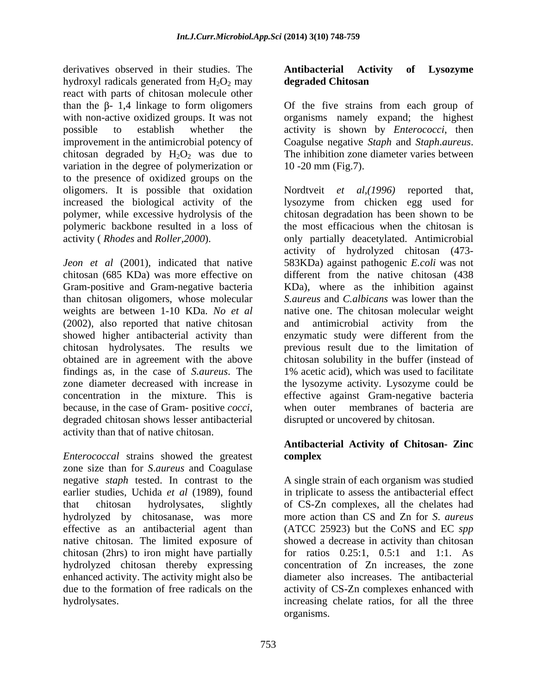derivatives observed in their studies. The **Antibacterial Activity of Lysozyme** hydroxyl radicals generated from  $H_2O_2$  may degraded Chitosan react with parts of chitosan molecule other than the  $\beta$ - 1,4 linkage to form oligomers of the five strains from each group of with non-active oxidized groups. It was not organisms namely expand; the highest possible to establish whether the activity is shown by *Enterococci*, then improvement in the antimicrobial potency of Coagulse negative *Staph* and *Staph*.*aureus*. chitosan degraded by  $H_2O_2$  was due to variation in the degree of polymerization or  $10-20$  mm (Fig.7). to the presence of oxidized groups on the oligomers. It is possible that oxidation Nordtveit et al, (1996) reported that, polymeric backbone resulted in a loss of

Gram-positive and Gram-negative bacteria than chitosan oligomers, whose molecular weights are between 1-10 KDa. *No et al* (2002), also reported that native chitosan and antimicrobial activity from the showed higher antibacterial activity than enzymatic study were different from the obtained are in agreement with the above because, in the case of Gram- positive *cocci*, when outer membranes of bacteria are dispraced chitosan shows lesser antibacterial disrupted or uncovered by chitosan. activity than that of native chitosan.

*Enterococcal* strains showed the greatest **complex** zone size than for *S*.*aureus* and Coagulase negative *staph* tested. In contrast to the hydrolyzed by chitosanase, was more native chitosan. The limited exposure of chitosan (2hrs) to iron might have partially hydrolyzed chitosan thereby expressing enhanced activity. The activity might also be

### **Antibacterial Activity of Lysozyme degraded Chitosan**

The inhibition zone diameter varies between 10 -20 mm (Fig.7).

increased the biological activity of the lysozyme from chicken egg used for polymer, while excessive hydrolysis of the chitosan degradation has been shown to be activity ( *Rhodes* and *Roller,2000*). only partially deacetylated. Antimicrobial *Jeon et al* (2001), indicated that native 583KDa) against pathogenic *E.coli* was not chitosan (685 KDa) was more effective on different from the native chitosan (438 chitosan hydrolysates. The results we previous result due to the limitation of findings as, in the case of *S.aureus*. The 1% acetic acid), which was used to facilitate zone diameter decreased with increase in the lysozyme activity. Lysozyme could be concentration in the mixture. This is effective against Gram-negative bacteria Nordtveit *et al,(1996)* reported that, the most efficacious when the chitosan is activity of hydrolyzed chitosan (473- KDa), where as the inhibition against *S.aureus* and *C.albicans* was lower than the native one. The chitosan molecular weight and antimicrobial activity from the enzymatic study were different from the chitosan solubility in the buffer (instead of when outer membranes of bacteria are disrupted or uncovered by chitosan.

### **Antibacterial Activity of Chitosan- Zinc complex**

earlier studies, Uchida *et al* (1989), found in triplicate to assess the antibacterial effect that chitosan hydrolysates, slightly of CS-Zn complexes, all the chelates had effective as an antibacterial agent than (ATCC 25923) but the CoNS and EC *spp* due to the formation of free radicals on the activity of CS-Zn complexes enhanced with hydrolysates. increasing chelate ratios, for all the three A single strain of each organism was studied more action than CS and Zn for *S*. *aureus* showed a decrease in activity than chitosan for ratios 0.25:1, 0.5:1 and 1:1. As concentration of Zn increases, the zone diameter also increases. The antibacterial organisms.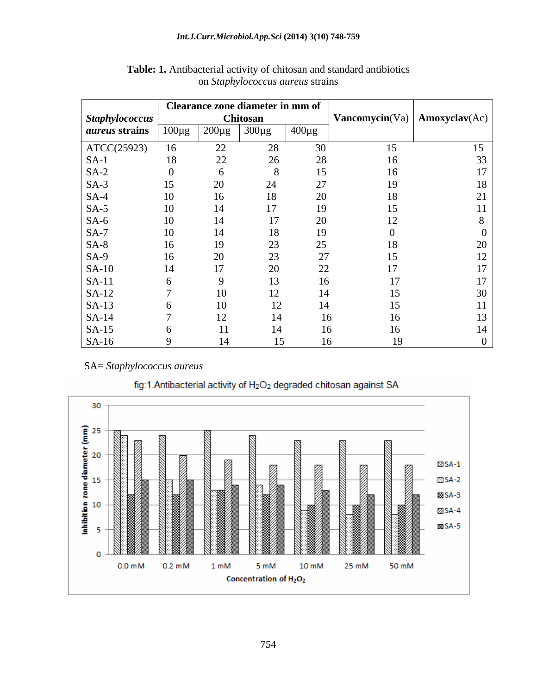|                       |             | Clearance zone diameter in mm of |                 |                  |                            | $\mathbf{Amoxyclav}(\mathbf{Ac})$ |
|-----------------------|-------------|----------------------------------|-----------------|------------------|----------------------------|-----------------------------------|
| Staphylococcus        |             |                                  | <b>Chitosan</b> |                  | $\mathbf {Vancomycin}(Va)$ |                                   |
| <i>aureus</i> strains | $100 \mu g$ | $200 \mu g$                      | $300 \mu g$     | $1400 \mu g$     |                            |                                   |
| ATCC(25923)           | 16          | 22                               | 28              | 30               | 15                         | 15                                |
| $SA-1$                | 18          | 22                               | 26              | 28               | 16                         | 33                                |
| $SA-2$                |             |                                  |                 | 15 <sup>15</sup> | 16                         |                                   |
| $SA-3$                | 15          | 20                               | 24              | 27               | 19                         |                                   |
| $SA-4$                | 10          | 16                               | 18              | 20               | 18                         | 21                                |
| $SA-5$                | 10          | 14                               | 17              | 19               |                            |                                   |
| $SA-6$                | 10          | 14                               | 17              | 20               |                            |                                   |
| $SA-7$                | 10          | 14                               | 18              | 19               |                            |                                   |
| $SA-8$                | 16          | 19                               | 23              | 25               | 18.                        |                                   |
| $SA-9$                | 16          | 20                               | 23              | 27               |                            |                                   |
| $SA-10$               | 14          | 17                               | 20              | 22               |                            |                                   |
| $SA-11$               |             |                                  |                 | 16               |                            |                                   |
| $SA-12$               |             |                                  |                 | 14               |                            | 30                                |
| $SA-13$               |             | 10                               | 12              | 14               |                            |                                   |
| $SA-14$               |             |                                  | 14              | 16               |                            |                                   |
| $SA-15$               |             |                                  |                 |                  |                            |                                   |
| $SA-16$               |             | 14.                              | 15              | 16               | 19                         |                                   |

**Table: 1.** Antibacterial activity of chitosan and standard antibiotics on *Staphylococcus aureus* strains

SA= *Staphylococcus aureus*



fig:1.Antibacterial activity of H<sub>2</sub>O<sub>2</sub> degraded chitosan against SA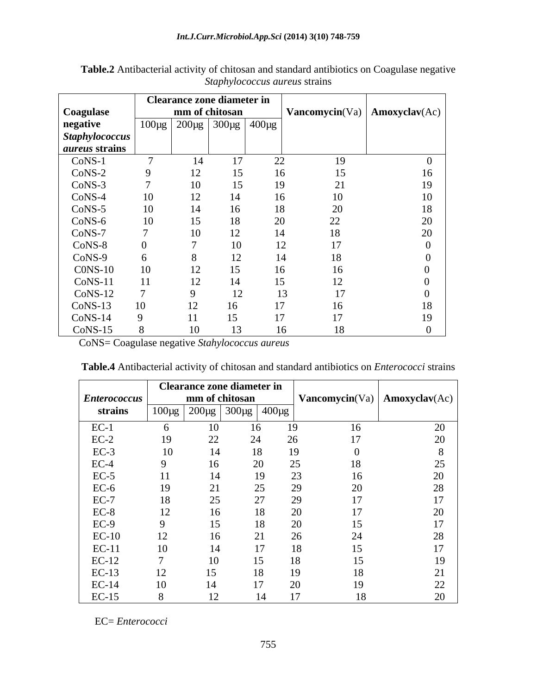|                             | <b>Clearance zone diameter in</b> |                                                            |     |                        |                                   |          |
|-----------------------------|-----------------------------------|------------------------------------------------------------|-----|------------------------|-----------------------------------|----------|
| mm of chitosan<br>Coagulase |                                   |                                                            |     | <b>Vancomycin</b> (Va) | $\mathbf{Amoxyclav}(\mathbf{Ac})$ |          |
| negative                    |                                   | $\mid$ 100µg $\mid$ 200µg $\mid$ 300µg $\mid$ 400µg $\mid$ |     |                        |                                   |          |
| Staphylococcus              |                                   |                                                            |     |                        |                                   |          |
| <i>aureus</i> strains       |                                   |                                                            |     |                        |                                   |          |
| CoNS-1                      |                                   | 14                                                         | 17  | 22                     | 19                                |          |
| $CoNS-2$                    | 9                                 | 12                                                         | 15  | 16                     | 15                                | 16       |
| $CoNS-3$                    |                                   | 10                                                         | 15  | 19                     | 21                                | 19       |
| $CoNS-4$                    | 10                                | 12                                                         | 14  | 16                     | 10                                | 10       |
| $CoNS-5$                    | 10                                | 14                                                         | 16  | 18                     | $20\,$                            | 18       |
| $CoNS-6$                    | 10                                | 15                                                         | 18  | 20                     | 22                                | 20       |
| CoNS-7                      |                                   | 10                                                         | 12  | 14                     | 18                                | 20       |
| CoNS-8                      |                                   |                                                            | 10  | 12                     | 17                                | $\theta$ |
| CoNS-9                      |                                   |                                                            | 12  |                        | 18<br>14                          |          |
| $CONS-10$                   | 10                                | 12                                                         | 15  | 16                     | 16                                |          |
| $CoNS-11$                   | 11                                | 12                                                         | 14. | 15                     | 12                                |          |
| $CoNS-12$                   |                                   |                                                            | 12  |                        | 17<br>13                          |          |
| $CoNS-13$                   | 10                                | 12                                                         | 16  | 17                     | 16                                | 18       |
| $CoNS-14$                   | $\mathbf Q$                       |                                                            | 15  | 17                     | 17                                | 19       |
| $CoNS-15$                   |                                   | 10                                                         | 13  |                        | 16<br>18                          |          |

**Table.2** Antibacterial activity of chitosan and standard antibiotics on Coagulase negative *Staphylococcus aureus* strains

CoNS= Coagulase negative *Stahylococcus aureus*

|                     | <b>Clearance zone diameter in</b> |    |                                                            |    |    | <b>Vancomycin</b> (Va)   <b>Amoxyclav</b> (Ac) |  |
|---------------------|-----------------------------------|----|------------------------------------------------------------|----|----|------------------------------------------------|--|
| <b>Enterococcus</b> | mm of chitosan                    |    |                                                            |    |    |                                                |  |
| strains             |                                   |    | $\mid$ 100μg $\mid$ 200μg $\mid$ 300μg $\mid$ 400μg $\mid$ |    |    |                                                |  |
| $EC-1$              | n.                                | 10 | 16                                                         | 19 | 16 | 20                                             |  |
| $EC-2$              | 19                                | 22 | 24                                                         | 26 | 17 | 20                                             |  |
| $EC-3$              | 10                                | 14 | 18                                                         | 19 |    |                                                |  |
| $EC-4$              |                                   | 16 | 20                                                         | 25 | 18 | 25                                             |  |
| $EC-5$              | 11                                | 14 | 19                                                         | 23 | 16 | 20                                             |  |
| $EC-6$              | 19                                | 21 | 25                                                         | 29 | 20 | 28                                             |  |
| $EC-7$              | 18                                | 25 | 27                                                         | 29 | 17 | 17                                             |  |
| $EC-8$              | 12                                | 16 | 18                                                         | 20 | 17 | 20                                             |  |
| $EC-9$              | $\Omega$                          | 15 | 18                                                         | 20 | 15 | 17                                             |  |
| $EC-10$             | 12                                | 16 | 21                                                         | 26 | 24 | 28                                             |  |
| $EC-11$             | 10                                | 14 | 17                                                         | 18 | 15 | 17                                             |  |
| $EC-12$             |                                   | 10 | 15                                                         | 18 | 15 | 19                                             |  |
| $EC-13$             | 12                                | 15 | 18                                                         |    | 18 | 21                                             |  |
| $EC-14$             | 10                                | 14 | 17                                                         | 20 | 19 | 22                                             |  |
| $EC-15$             |                                   | 12 |                                                            |    | 18 | 20                                             |  |

**Table.4** Antibacterial activity of chitosan and standard antibiotics on *Enterococci* strains

EC= *Enterococci*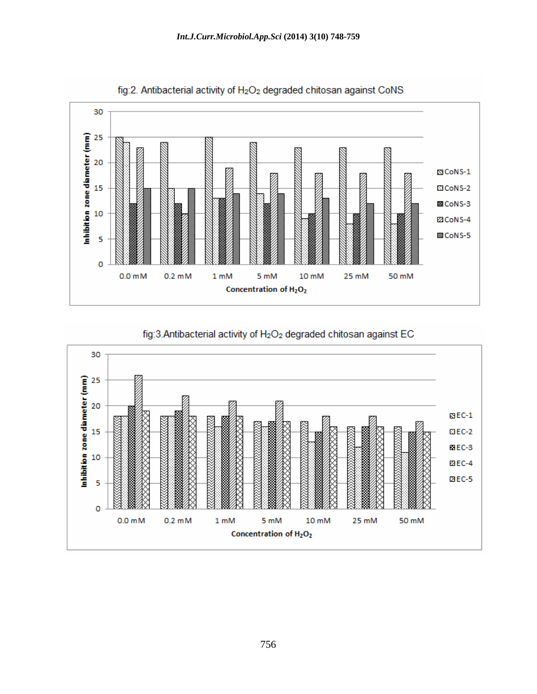



fig:3.Antibacterial activity of H<sub>2</sub>O<sub>2</sub> degraded chitosan against EC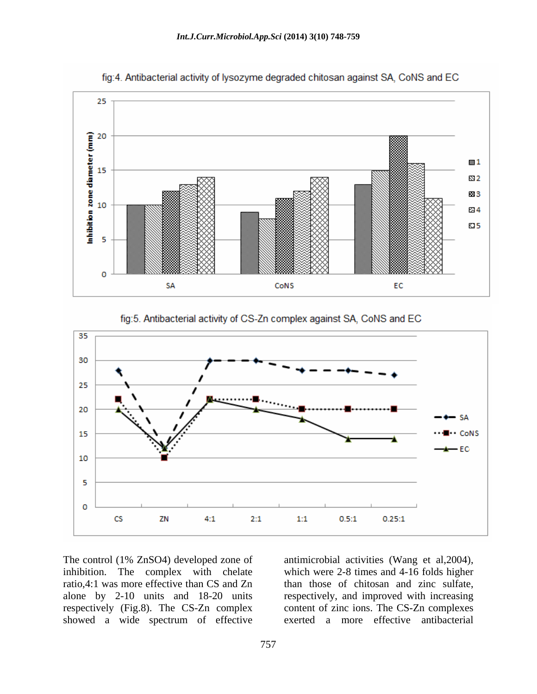

fig:4. Antibacterial activity of lysozyme degraded chitosan against SA, CoNS and EC





The control (1% ZnSO4) developed zone of antimicrobial activities (Wang et al,2004), inhibition. The complex with chelate which were 2-8 times and 4-16 folds higher ratio,4:1 was more effective than CS and Zn than those of chitosan and zinc sulfate, alone by 2-10 units and 18-20 units respectively, and improved with increasing respectively (Fig.8). The CS-Zn complex content of zinc ions. The CS-Zn complexes showed a wide spectrum of effective

exerted a more effective antibacterial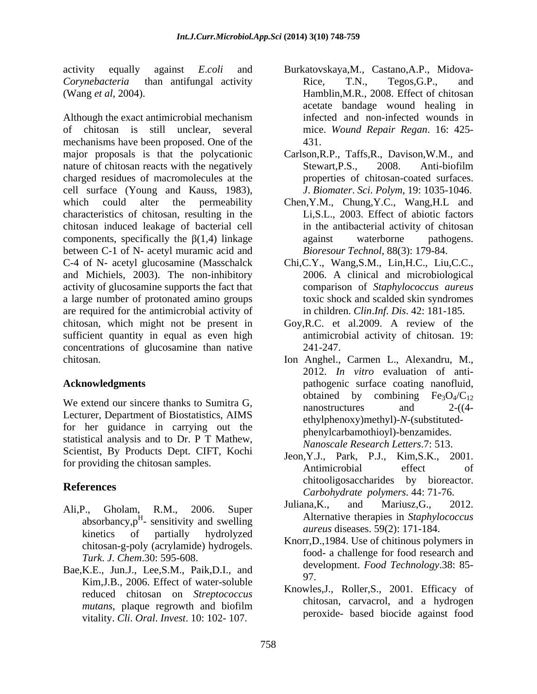Although the exact antimicrobial mechanism mechanisms have been proposed. One of the major proposals is that the polycationic Carlson,R.P., Taffs,R., Davison,W.M., and nature of chitosan reacts with the negatively Stewart, P.S., 2008. Anti-biofilm charged residues of macromolecules at the cell surface (Young and Kauss, 1983), which could alter the permeability Chen,Y.M., Chung,Y.C., Wang,H.L and characteristics of chitosan, resulting in the chitosan induced leakage of bacterial cell components, specifically the  $\beta(1,4)$  linkage against waterborne pathogens. between C-1 of N- acetyl muramic acid and C-4 of N- acetyl glucosamine (Masschalck Chi,C.Y., Wang,S.M., Lin,H.C., Liu,C.C., and Michiels, 2003). The non-inhibitory activity of glucosamine supports the fact that a large number of protonated amino groups are required for the antimicrobial activity of chitosan, which might not be present in Goy,R.C. et al.2009. A review of the sufficient quantity in equal as even high concentrations of glucosamine than native 241-247. chitosan. Ion Anghel., Carmen L., Alexandru, M.,

We extend our sincere thanks to Sumitra G,<br>nanostructures and  $2-(4-$ Lecturer, Department of Biostatistics, AIMS for her guidance in carrying out the statistical analysis and to Dr. P T Mathew, Scientist, By Products Dept. CIFT, Kochi for providing the chitosan samples.

- Ali, P., Gholam, R.M., 2006. Super  $\frac{\text{Junana}}{\text{Alu}}$ ,  $\frac{\text{anu}}{\text{Alu}}$  is  $\frac{\text{N.}}{\text{Alu}}$ absorbancy, $p^H$ - sensitivity and swelling kinetics of partially hydrolyzed  $\frac{u\theta}{K}$   $\frac{1004 \text{ H}}{2000 \text{ H}} \sin \theta$ . chitosan-g-poly (acrylamide) hydrogels. *Turk*. *J*. *Chem*.30: 595-608.
- Bae, K.E., Jun.J., Lee, S.M., Paik, D.I., and dev Kim,J.B., 2006. Effect of water-soluble reduced chitosan on *Streptococcus*  vitality. *Cli*. *Oral*. *Invest*. 10: 102- 107.
- activity equally against *E*.*coli* and Burkatovskaya,M., Castano,A.P., Midova- *Corynebacteria* than antifungal activity (Wang *et al*, 2004). Hamblin,M.R., 2008. Effect of chitosan of chitosan is still unclear, several mice. *Wound Repair Regan*. 16: 425- Rice, T.N., Tegos,G.P., and acetate bandage wound healing in infected and non-infected wounds in 431.
	- Stewart,P.S., 2008. Anti-biofilm properties of chitosan-coated surfaces. *J*. *Biomater*. *Sci*. *Polym*, 19: 1035-1046.
	- Li,S.L., 2003. Effect of abiotic factors in the antibacterial activity of chitosan against waterborne pathogens. *Bioresour Technol*, 88(3): 179-84.
	- Chi,C.Y., Wang,S.M., Lin,H.C., Liu,C.C., 2006. <sup>A</sup> clinical and microbiological comparison of *Staphylococcus aureus* toxic shock and scalded skin syndromes in children. *Clin*.*Inf*. *Dis*. 42: 181-185.
	- antimicrobial activity of chitosan. 19: 241-247.
- **Acknowledgments** pathogenic surface coating nanofluid, Ion Anghel., Carmen L., Alexandru, M., 2012. *In vitro* evaluation of anti obtained by combining  $Fe<sub>3</sub>O<sub>4</sub>/C<sub>12</sub>$ nanostructures and 2-((4 ethylphenoxy)methyl)-*N*-(substituted phenylcarbamothioyl)-benzamides. *Nanoscale Research Letters*.7: 513.
- **References** *Carbohydrate polymers*. 44: 71-76. Jeon,Y.J., Park, P.J., Kim,S.K., 2001. Antimicrobial effect of chitooligosaccharides by bioreactor.
	- $\frac{\text{Aiterative}\}}{\text{Aiterative}\}}$  is a supproved in Supprovedues Juliana,K., and Mariusz,G., 2012. Alternative therapies in *Staphylococcus aureus* diseases. 59(2): 171-184.
		- Knorr,D.,1984. Use of chitinous polymers in food- a challenge for food research and development. *Food Technology*.38: 85- 97.
	- *mutans*, plaque regrowth and biofilm Knowles,J., Roller,S., 2001. Efficacy of chitosan, carvacrol, and a hydrogen peroxide- based biocide against food